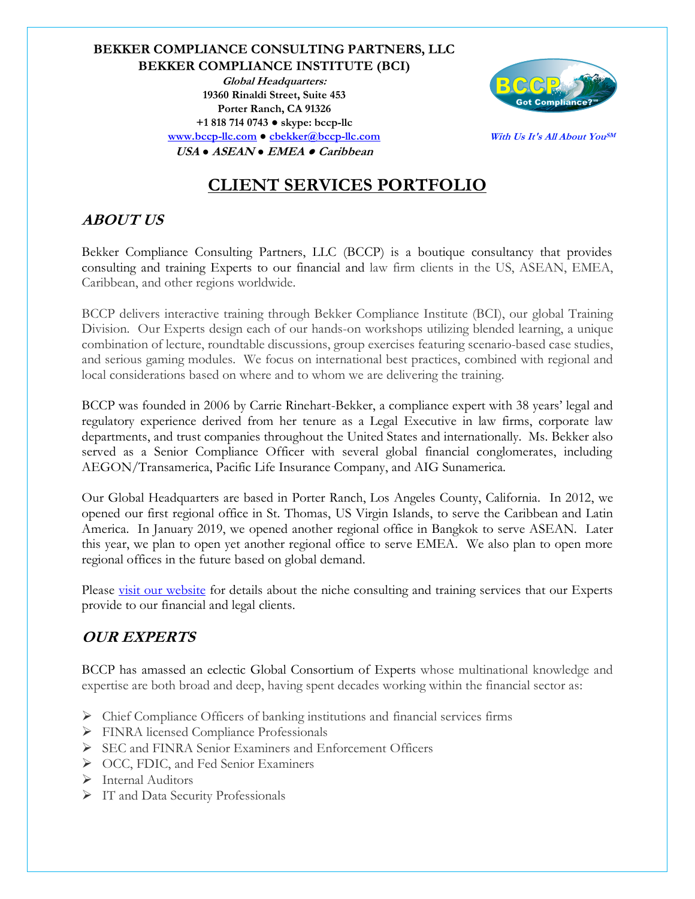### **BEKKER COMPLIANCE CONSULTING PARTNERS, LLC BEKKER COMPLIANCE INSTITUTE (BCI) Global Headquarters: 19360 Rinaldi Street, Suite 453 Porter Ranch, CA 91326 +1 818 714 0743 ● skype: bccp-llc [www.bccp-llc.com](http://www.bccp-llc.com/) ● [cbekker@bccp-llc.com](mailto:cbekker@bccp-llc.com) USA ● ASEAN ● EMEA ● Caribbean**



**With Us It's All About YouSM**

# **CLIENT SERVICES PORTFOLIO**

## **ABOUT US**

Bekker Compliance Consulting Partners, LLC (BCCP) is a boutique consultancy that provides consulting and training Experts to our financial and law firm clients in the US, ASEAN, EMEA, Caribbean, and other regions worldwide.

BCCP delivers interactive training through Bekker Compliance Institute (BCI), our global Training Division. Our Experts design each of our hands-on workshops utilizing blended learning, a unique combination of lecture, roundtable discussions, group exercises featuring scenario-based case studies, and serious gaming modules. We focus on international best practices, combined with regional and local considerations based on where and to whom we are delivering the training.

BCCP was founded in 2006 by Carrie Rinehart-Bekker, a compliance expert with 38 years' legal and regulatory experience derived from her tenure as a Legal Executive in law firms, corporate law departments, and trust companies throughout the United States and internationally. Ms. Bekker also served as a Senior Compliance Officer with several global financial conglomerates, including AEGON/Transamerica, Pacific Life Insurance Company, and AIG Sunamerica.

Our Global Headquarters are based in Porter Ranch, Los Angeles County, California. In 2012, we opened our first regional office in St. Thomas, US Virgin Islands, to serve the Caribbean and Latin America. In January 2019, we opened another regional office in Bangkok to serve ASEAN. Later this year, we plan to open yet another regional office to serve EMEA. We also plan to open more regional offices in the future based on global demand.

Please [visit our website](https://www.bccp-llc.com/) for details about the niche consulting and training services that our Experts provide to our financial and legal clients.

## **OUR EXPERTS**

BCCP has amassed an eclectic Global Consortium of Experts whose multinational knowledge and expertise are both broad and deep, having spent decades working within the financial sector as:

- ➢ Chief Compliance Officers of banking institutions and financial services firms
- ➢ FINRA licensed Compliance Professionals
- ➢ SEC and FINRA Senior Examiners and Enforcement Officers
- ➢ OCC, FDIC, and Fed Senior Examiners
- ➢ Internal Auditors
- ➢ IT and Data Security Professionals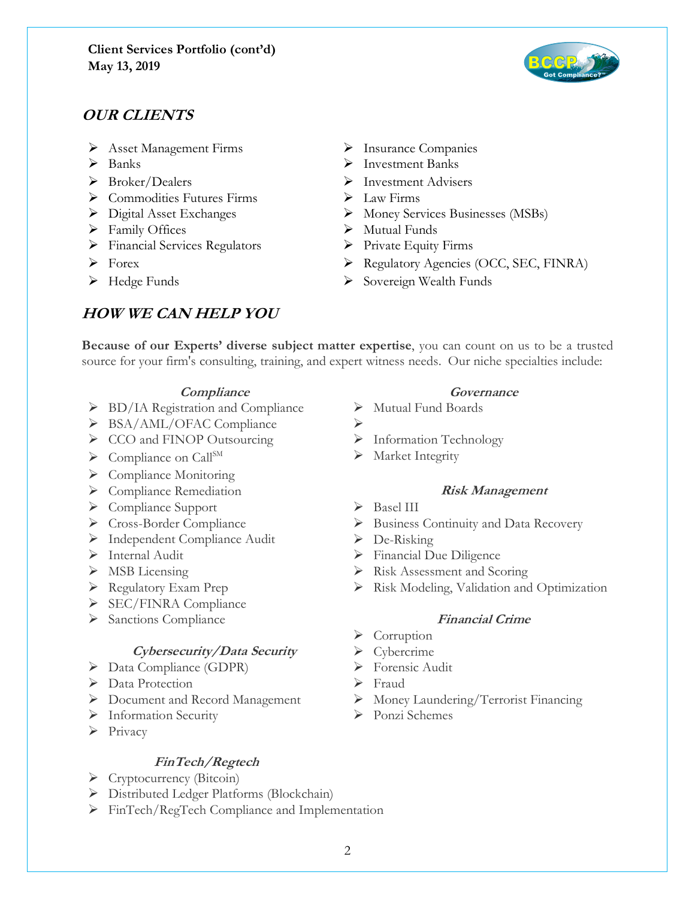

## **OUR CLIENTS**

- ➢ Asset Management Firms ➢ Insurance Companies
- 
- 
- ➢ Commodities Futures Firms ➢ Law Firms
- 
- ➢ Family Offices ➢ Mutual Funds
- ➢ Financial Services Regulators ➢ Private Equity Firms
- 
- 

## **HOW WE CAN HELP YOU**

- 
- ➢ Banks ➢ Investment Banks
- ➢ Broker/Dealers ➢ Investment Advisers
	-
- ➢ Digital Asset Exchanges ➢ Money Services Businesses (MSBs)
	-
	-
- ➢ Forex ➢ Regulatory Agencies (OCC, SEC, FINRA)
- ➢ Hedge Funds ➢ Sovereign Wealth Funds

**Because of our Experts' diverse subject matter expertise**, you can count on us to be a trusted source for your firm's consulting, training, and expert witness needs. Our niche specialties include:

### **Compliance Governance**

- ➢ BD/IA Registration and Compliance ➢ Mutual Fund Boards
- ➢ BSA/AML/OFAC Compliance ➢
- ➢ CCO and FINOP Outsourcing ➢ Information Technology
- ➢ Compliance on CallSM ➢ Market Integrity
- ➢ Compliance Monitoring
- ➢ Compliance Remediation **Risk Management**
- ➢ Compliance Support ➢ Basel III
- 
- ➢ Independent Compliance Audit ➢ De-Risking
- 
- 
- 
- ➢ SEC/FINRA Compliance
- ➢ Sanctions Compliance **Financial Crime**

### **Cybersecurity/Data Security** ➢ Cybercrime

- ➢ Data Compliance (GDPR) ➢ Forensic Audit
- ➢ Data Protection ➢ Fraud
- 
- ➢ Information Security ➢ Ponzi Schemes
- ➢ Privacy

### **FinTech/Regtech**

- ➢ Cryptocurrency (Bitcoin)
- ➢ Distributed Ledger Platforms (Blockchain)
- ➢ FinTech/RegTech Compliance and Implementation

- 
- 
- 
- 

- 
- ➢ Cross-Border Compliance ➢ Business Continuity and Data Recovery
	-
- ➢ Internal Audit ➢ Financial Due Diligence
- ➢ MSB Licensing ➢ Risk Assessment and Scoring
- ➢ Regulatory Exam Prep ➢ Risk Modeling, Validation and Optimization

- ➢ Corruption
- 
- 
- 
- ➢ Document and Record Management ➢ Money Laundering/Terrorist Financing
	-